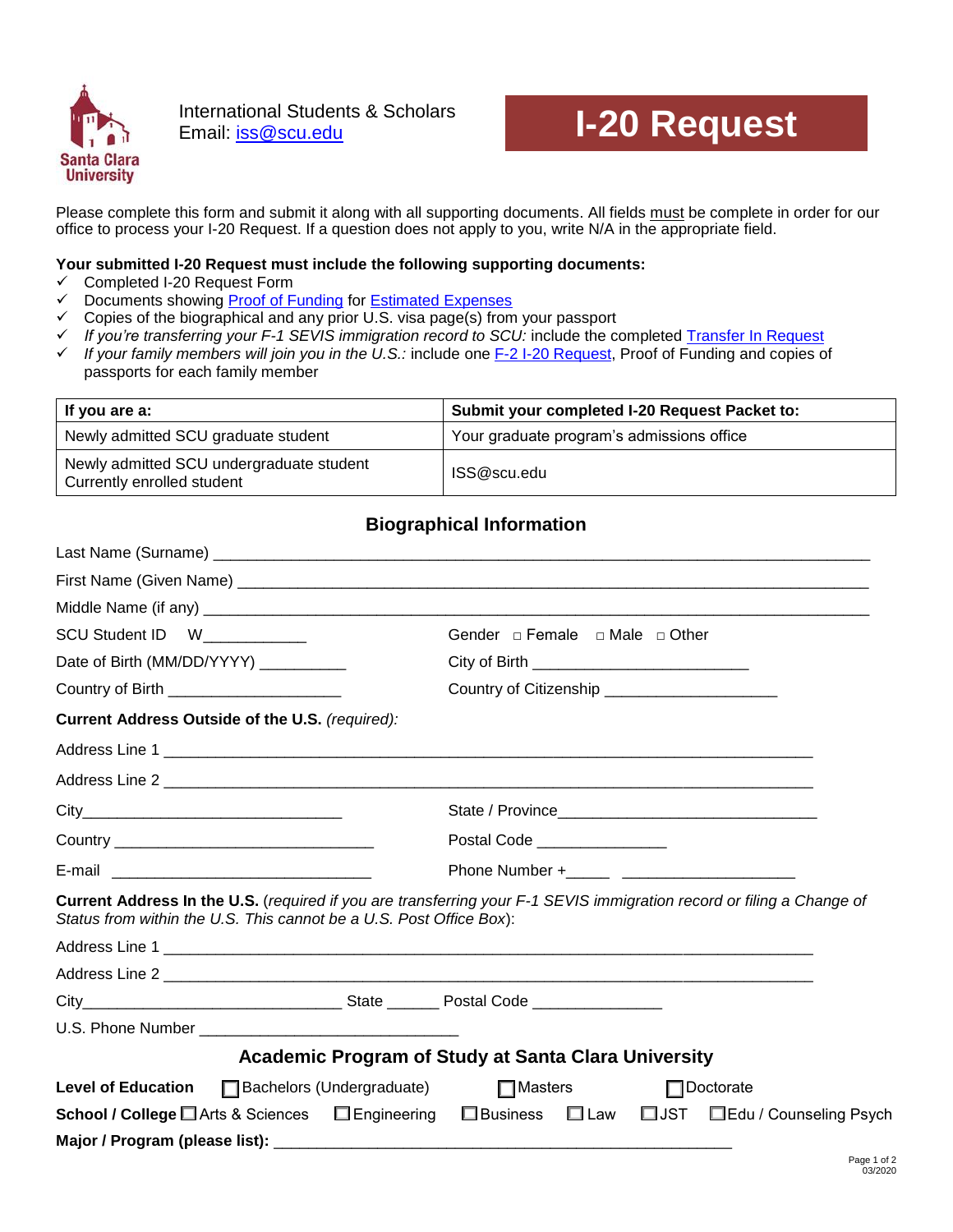

International Students & Scholars International Students & Scholars<br>Email: **iss@scu.edu I-20 Request** 

Please complete this form and submit it along with all supporting documents. All fields must be complete in order for our office to process your I-20 Request. If a question does not apply to you, write N/A in the appropriate field.

#### **Your submitted I-20 Request must include the following supporting documents:**

- $\checkmark$  Completed I-20 Request Form
- Documents showing [Proof of Funding](https://www.scu.edu/globalengagement/international-students/apply-and-getting-started/immigration-process/proof-of-funding-requirements/) for [Estimated](https://www.scu.edu/globalengagement/international-students/apply-and-getting-started/immigration-process/estimated-expenses/) Expenses
- $\checkmark$  Copies of the biographical and any prior U.S. visa page(s) from your passport
- *If you're transferring your F-1 SEVIS immigration record to SCU:* include the completed [Transfer In Request](https://www.scu.edu/globalengagement/international-students/forms/)
- *If your family members will join you in the U.S.:* include one [F-2 I-20 Request,](https://www.scu.edu/globalengagement/international-students/forms/) Proof of Funding and copies of passports for each family member

| If you are a:                                                          | Submit your completed I-20 Request Packet to: |  |
|------------------------------------------------------------------------|-----------------------------------------------|--|
| Newly admitted SCU graduate student                                    | Your graduate program's admissions office     |  |
| Newly admitted SCU undergraduate student<br>Currently enrolled student | ISS@scu.edu                                   |  |

## **Biographical Information**

| SCU Student ID W___________                                         |                                                                                                                       |
|---------------------------------------------------------------------|-----------------------------------------------------------------------------------------------------------------------|
| Date of Birth (MM/DD/YYYY) _________                                | City of Birth __________________________________                                                                      |
| Country of Birth _____________________                              | Country of Citizenship ________________________                                                                       |
| Current Address Outside of the U.S. (required):                     |                                                                                                                       |
|                                                                     |                                                                                                                       |
|                                                                     |                                                                                                                       |
|                                                                     |                                                                                                                       |
|                                                                     | Postal Code ________________                                                                                          |
|                                                                     |                                                                                                                       |
| Status from within the U.S. This cannot be a U.S. Post Office Box): | Current Address In the U.S. (required if you are transferring your F-1 SEVIS immigration record or filing a Change of |
|                                                                     |                                                                                                                       |
|                                                                     |                                                                                                                       |
|                                                                     |                                                                                                                       |
|                                                                     |                                                                                                                       |
|                                                                     | <b>Academic Program of Study at Santa Clara University</b>                                                            |
| Level of Education   Bachelors (Undergraduate)                      | $\Box$ Masters<br>$\Box$ Doctorate                                                                                    |
| <b>School / College</b> ■ Arts & Sciences ■ Engineering             | □ JST □ Edu / Counseling Psych<br>□Business □ Law                                                                     |
|                                                                     |                                                                                                                       |